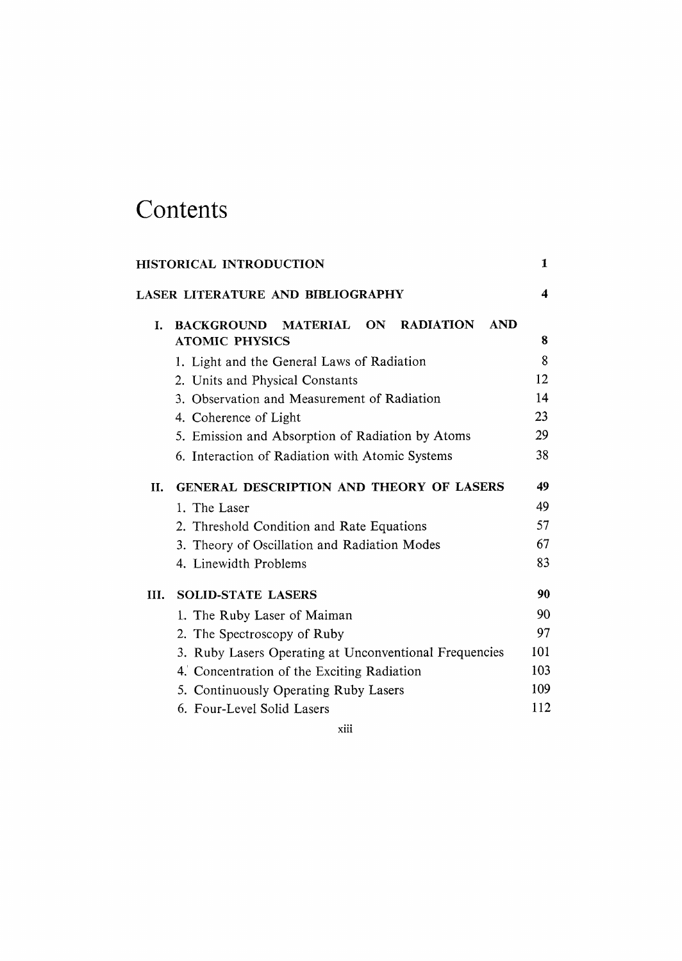## Contents

| HISTORICAL INTRODUCTION |                                                                                   |     |  |
|-------------------------|-----------------------------------------------------------------------------------|-----|--|
|                         | LASER LITERATURE AND BIBLIOGRAPHY                                                 | 4   |  |
| L.                      | <b>RADIATION</b><br><b>AND</b><br>BACKGROUND MATERIAL ON<br><b>ATOMIC PHYSICS</b> | 8   |  |
|                         | 1. Light and the General Laws of Radiation                                        | 8   |  |
|                         | 2. Units and Physical Constants                                                   | 12  |  |
|                         | 3. Observation and Measurement of Radiation                                       | 14  |  |
|                         | 4. Coherence of Light                                                             | 23  |  |
|                         | 5. Emission and Absorption of Radiation by Atoms                                  | 29  |  |
|                         | 6. Interaction of Radiation with Atomic Systems                                   | 38  |  |
| II.                     | <b>GENERAL DESCRIPTION AND THEORY OF LASERS</b>                                   | 49  |  |
|                         | 1. The Laser                                                                      | 49  |  |
|                         | 2. Threshold Condition and Rate Equations                                         | 57  |  |
|                         | 3. Theory of Oscillation and Radiation Modes                                      | 67  |  |
|                         | 4. Linewidth Problems                                                             | 83  |  |
| III.                    | <b>SOLID-STATE LASERS</b>                                                         | 90  |  |
|                         | 1. The Ruby Laser of Maiman                                                       | 90  |  |
|                         | 2. The Spectroscopy of Ruby                                                       | 97  |  |
|                         | 3. Ruby Lasers Operating at Unconventional Frequencies                            | 101 |  |
|                         | 4. Concentration of the Exciting Radiation                                        | 103 |  |
|                         | 5. Continuously Operating Ruby Lasers                                             | 109 |  |
|                         | 6. Four-Level Solid Lasers                                                        | 112 |  |

xiii